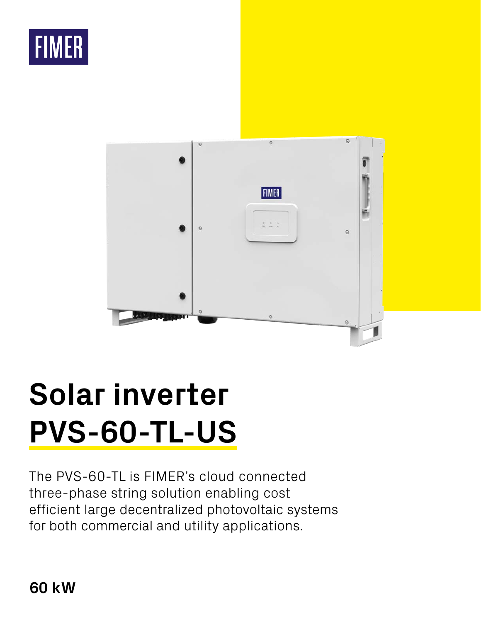



# **Solar inverter PVS-60-TL-US**

The PVS-60-TL is FIMER's cloud connected three-phase string solution enabling cost efficient large decentralized photovoltaic systems for both commercial and utility applications.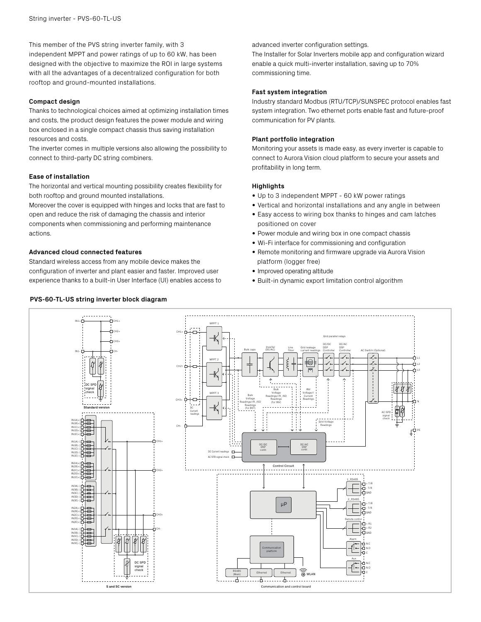This member of the PVS string inverter family, with 3 independent MPPT and power ratings of up to 60 kW, has been designed with the objective to maximize the ROI in large systems with all the advantages of a decentralized configuration for both rooftop and ground-mounted installations.

#### **Compact design**

Thanks to technological choices aimed at optimizing installation times and costs, the product design features the power module and wiring box enclosed in a single compact chassis thus saving installation resources and costs.

The inverter comes in multiple versions also allowing the possibility to connect to third-party DC string combiners.

#### **Ease of installation**

The horizontal and vertical mounting possibility creates flexibility for both rooftop and ground mounted installations.

Moreover the cover is equipped with hinges and locks that are fast to open and reduce the risk of damaging the chassis and interior components when commissioning and performing maintenance actions.

#### **Advanced cloud connected features**

Standard wireless access from any mobile device makes the configuration of inverter and plant easier and faster. Improved user experience thanks to a built-in User Interface (UI) enables access to

## **PVS-60-TL-US string inverter block diagram**

advanced inverter configuration settings.

The Installer for Solar Inverters mobile app and configuration wizard enable a quick multi-inverter installation, saving up to 70% commissioning time.

#### **Fast system integration**

Industry standard Modbus (RTU/TCP)/SUNSPEC protocol enables fast system integration. Two ethernet ports enable fast and future-proof communication for PV plants.

#### **Plant portfolio integration**

Monitoring your assets is made easy, as every inverter is capable to connect to Aurora Vision cloud platform to secure your assets and profitability in long term.

## **Highlights**

- Up to 3 independent MPPT 60 kW power ratings
- Vertical and horizontal installations and any angle in between
- Easy access to wiring box thanks to hinges and cam latches positioned on cover
- Power module and wiring box in one compact chassis
- Wi-Fi interface for commissioning and configuration
- Remote monitoring and firmware upgrade via Aurora Vision platform (logger free)
- Improved operating altitude
- Built-in dynamic export limitation control algorithm

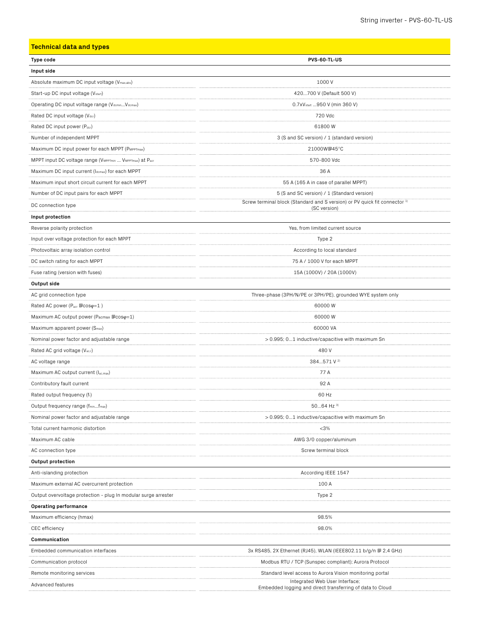# **Type code PVS-60-TL-US Input side** Absolute maximum DC input voltage (V<sub>max,abs</sub>) 1000 V Start-up DC input voltage (Vstart) and Start-up DC input voltage (Vstart) and Start-up DC input voltage (Vstart) Operating DC input voltage range (Vdcmin...Vdcmax) 0.7xVstart ...950 V (min 360 V) Rated DC input voltage (V<sub>dcr</sub>) 720 Vdc Rated DC input power (P<sub>dcr</sub>) 61800 W Number of independent MPPT and SC version) / 1 (standard version) and SC version) / 1 (standard version) Maximum DC input power for each MPPT (PMPPTmax) 21000W@45°C MPPT input DC voltage range (VMPPTmin ... VMPPTmax) at Pacr 570-800 Vdc Maximum DC input current (Idcmax) for each MPPT 36 A Maximum input short circuit current for each MPPT 55 A (165 A in case of parallel MPPT) Number of DC input pairs for each MPPT 6 (S and SC version) / 1 (Standard version) no Connection type Screw terminal block (Standard and S version) or PV quick fit connector<br>DC connection type (SC version) **Input protection** Reverse polarity protection and the verse polarity protection  $Y$ es, from limited current source Input over voltage protection for each MPPT **Type 2** Photovoltaic array isolation control exception of the extension of the exception of the extension of the exception of the exception of the exception of the exception of the exception of the exception of the exception of th DC switch rating for each MPPT 75 A / 1000 V for each MPPT Fuse rating (version with fuses) 15A (1000V) / 20A (1000V) **Output side** AC grid connection type Three-phase (3PH/N/PE or 3PH/PE), grounded WYE system only Rated AC power (Pacr @cosφ=1 ) 60000 W Maximum AC output power (P<sub>acmax</sub>  $\text{Cos} \varphi$ =1) 60000 W Maximum apparent power  $(S_{\text{max}})$  60000 VA Nominal power factor and adjustable range  $\sim$  0.995; 0...1 inductive/capacitive with maximum Sn Rated AC grid voltage (V<sub>ac.r</sub>) 480 V AC voltage range  $384...571$  V  $^{2}$ Maximum AC output current  $(I_{\text{ac,max}})$  77 A Contributory fault current 92 A Rated output frequency (f<sub>r</sub>) 60 Hz Output frequency range (fmin...fmax) 50...64 Hz 3) Nominal power factor and adjustable range  $\geq 0.995$ ; 0...1 inductive/capacitive with maximum Sn Total current harmonic distortion <3% Maximum AC cable **AWG 3/0** copper/aluminum AC connection type Screw terminal block and the Screw terminal block strew terminal block **Output protection** Anti-islanding protection and the state of the state of the state of the state of the According IEEE 1547 Maximum external AC overcurrent protection 100 A Output overvoltage protection - plug In modular surge arrester Type 2 and the context of the context of the context of the context of the context of the context of the context of the context of the context of the context o **Operating performance** Maximum efficiency (hmax) 98.5% CEC efficiency 98.0% of the contract of the contract of the contract of the contract of the contract of the contract of the contract of the contract of the contract of the contract of the contract of the contract of the co **Communication**

**Technical data and types**

Embedded communication interfaces  $3x$  RS485, 2X Ethernet (RJ45), WLAN (IEEE802.11 b/g/n  $\Box$  2,4 GHz) Communication protocol and a state of the Modbus RTU / TCP (Sunspec compliant); Aurora Protocol Remote monitoring services Standard level access to Aurora Vision monitoring portal Advanced features Integrated Web User Interface; Embedded logging and direct transferring of data to Cloud